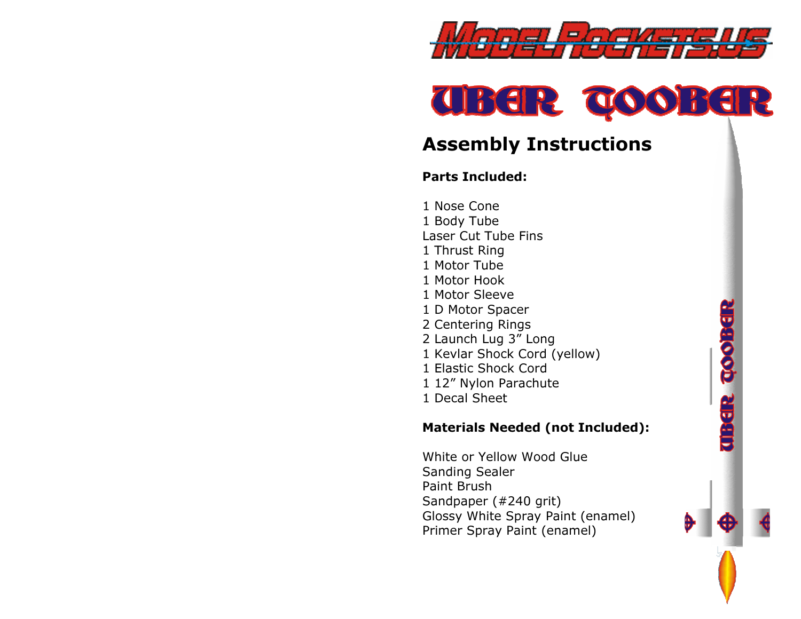



**There too here** 

# Assembly Instructions

#### Parts Included:

1 Nose Cone 1 Body Tube Laser Cut Tube Fins 1 Thrust Ring 1 Motor Tube 1 Motor Hook 1 Motor Sleeve 1 D Motor Spacer 2 Centering Rings 2 Launch Lug 3" Long 1 Kevlar Shock Cord (yellow) 1 Elastic Shock Cord 1 12" Nylon Parachute 1 Decal Sheet

#### Materials Needed (not Included):

White or Yellow Wood Glue Sanding Sealer Paint Brush Sandpaper (#240 grit) Glossy White Spray Paint (enamel) Primer Spray Paint (enamel)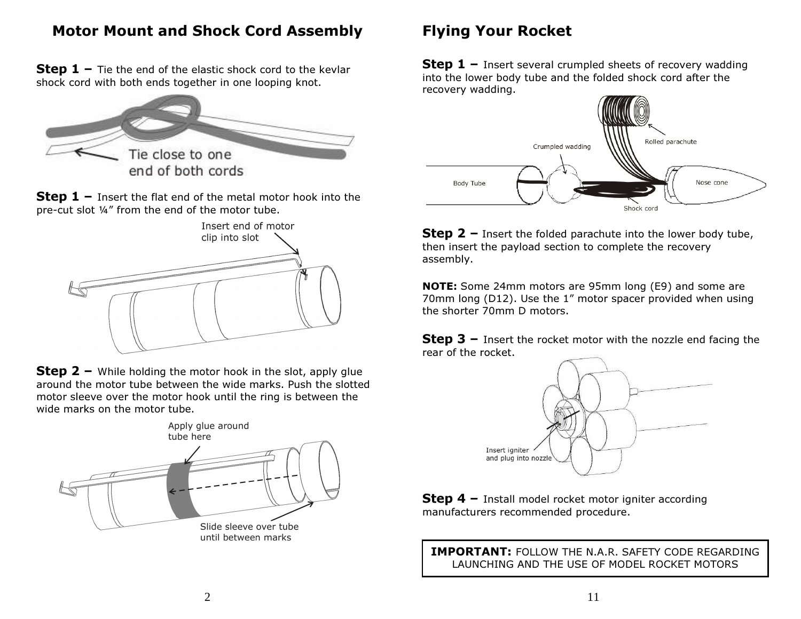# Motor Mount and Shock Cord Assembly

**Step 1** – Tie the end of the elastic shock cord to the kevlar character is an approximation of the state of  $\frac{1}{2}$ shock cord with both ends together in one looping knot.



**Step 1** – Insert the flat end of the metal motor hook into the new substitution. pre-cut slot ¼" from the end of the motor tube.



**Step 2 –** While holding the motor hook in the slot, apply glue around the motor tube between the wide marker Buch the eletter around the motor tube between the wide marks. Push the slotted motor sleeve over the motor hook until the ring is between the wide marks on the motor tube.



# Flying Your Rocket

**Step 1 –** Insert several crumpled sheets of recovery wadding  $\frac{1}{2}$  is the lower hady tube and the folded sheek send after the into the lower body tube and the folded shock cord after the recovery wadding.



**Step 2** – Insert the folded parachute into the lower body tube, then insert the payload section to complete the recovery assembly.

NOTE: Some 24mm motors are 95mm long (E9) and some are 70mm long (D12). Use the 1" motor spacer provided when using the shorter 70mm D motors.

**Step 3 –** Insert the rocket motor with the nozzle end facing the manner of the manner rear of the rocket.



**Step 4 –** Install model rocket motor igniter according manufacturers recommended procedure. manufacturers recommended procedure.

IMPORTANT: FOLLOW THE N.A.R. SAFETY CODE REGARDING LAUNCHING AND THE USE OF MODEL ROCKET MOTORS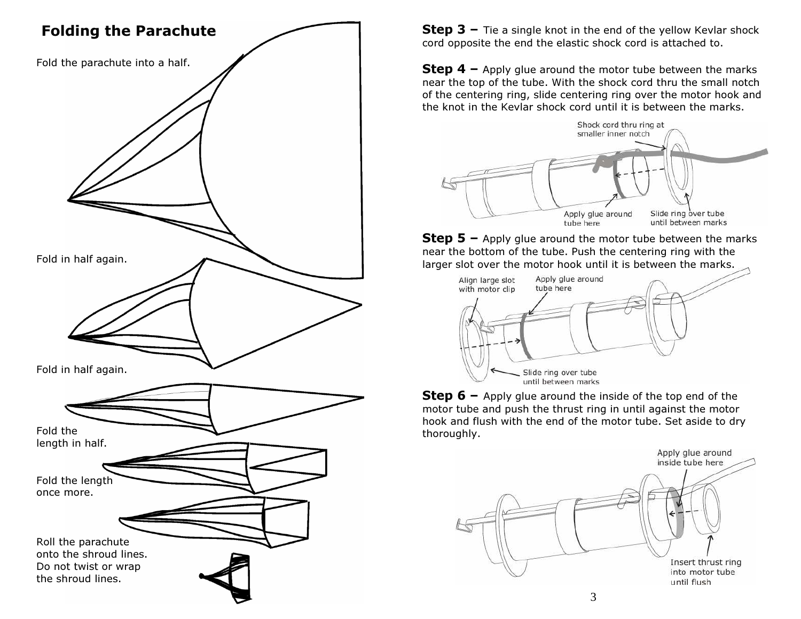

**Step 3** – Tie a single knot in the end of the yellow Kevlar shock  $\frac{1}{2}$ cord opposite the end the elastic shock cord is attached to.

**Step 4 –** Apply glue around the motor tube between the marks near the top of the tube. With the shock cord thru the small notch of the centering ring, slide centering ring over the motor hook and the knot in the Kevlar shock cord until it is between the marks.



**Step 5 –** Apply glue around the motor tube between the marks near the bottom of the tube. Push the centering ring with the larger slot over the motor hook until it is between the marks.



**Step 6** – Apply glue around the inside of the top end of the mater. motor tube and push the thrust ring in until against the motor hook and flush with the end of the motor tube. Set aside to dry thoroughly.

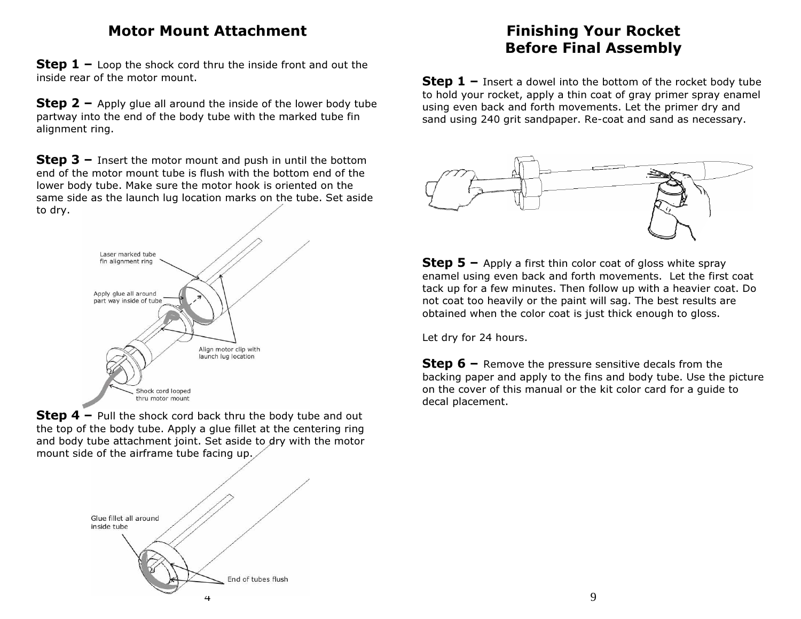#### Motor Mount Attachment

**Step 1 –** Loop the shock cord thru the inside front and out the inside rear of the mater mount. inside rear of the motor mount.

**Step 2 –** Apply glue all around the inside of the lower body tube  $\sum_{n=1}^{\infty}$ partway into the end of the body tube with the marked tube fin alignment ring.

**Step 3 –** Insert the motor mount and push in until the bottom<br>and of the mater mount tube is flugh with the bottom and of the end of the motor mount tube is flush with the bottom end of the lower body tube. Make sure the motor hook is oriented on the same side as the launch lug location marks on the tube. Set aside to dry.



**Step 4 –** Pull the shock cord back thru the body tube and out the ten of the body tube and out the top of the body tube. Apply a glue fillet at the centering ring and body tube attachment joint. Set aside to dry with the motor mount side of the airframe tube facing up.



# Finishing Your Rocket Before Final Assembly

**Step 1** – Insert a dowel into the bottom of the rocket body tube to hold your rocket, apply a thin coat of gray primer spray enamel using even back and forth movements. Let the primer dry and sand using 240 grit sandpaper. Re-coat and sand as necessary.



**Step 5** – Apply a first thin color coat of gloss white spray and using over body and farth may emants. Let the first enamel using even back and forth movements. Let the first coat tack up for a few minutes. Then follow up with a heavier coat. Do not coat too heavily or the paint will sag. The best results are obtained when the color coat is just thick enough to gloss.

Let dry for 24 hours.

**Step 6 –** Remove the pressure sensitive decals from the  $\frac{1}{2}$ backing paper and apply to the fins and body tube. Use the picture on the cover of this manual or the kit color card for a guide todecal placement.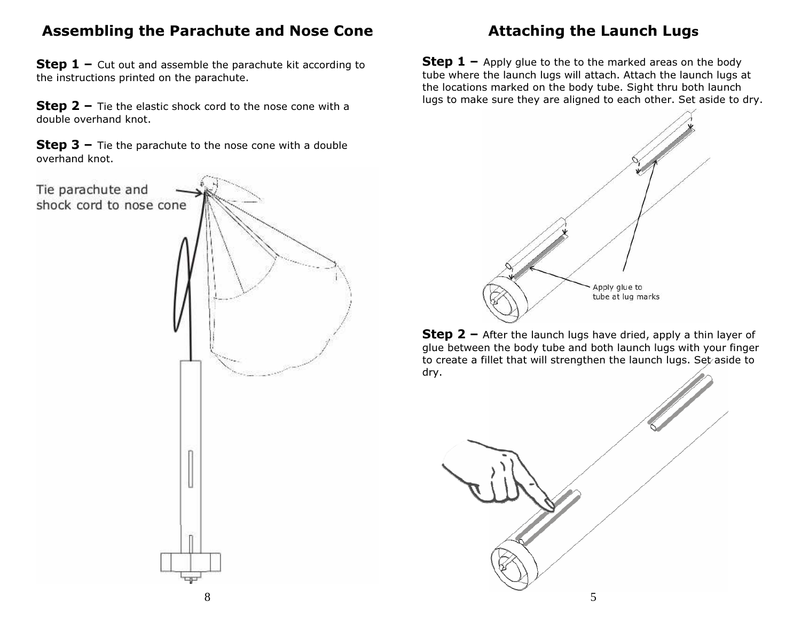### Assembling the Parachute and Nose Cone

**Step 1 –** Cut out and assemble the parachute kit according to the instructions printed on the parachute. the instructions printed on the parachute.

**Step 2 –** Tie the elastic shock cord to the nose cone with a double averaged linet double overhand knot.

**Step 3 –** Tie the parachute to the nose cone with a double according overhand knot.



# Attaching the Launch Lugs

**Step 1** – Apply glue to the to the marked areas on the body  $\frac{1}{2}$ tube where the launch lugs will attach. Attach the launch lugs at the locations marked on the body tube. Sight thru both launchlugs to make sure they are aligned to each other. Set aside to dry.



**Step 2** – After the launch lugs have dried, apply a thin layer of glue between the body tube and both launch lugs with your finger to create a fillet that will strengthen the launch lugs. Set aside to dry.